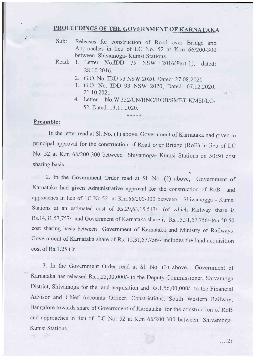## , PROCEEDINGS OF THE GOVERNMENT OF KARNATAKA

Sub: Releases for construction of Road over Bridge and Approaches in lieu of LC No. 52 at K.m 66/200-300 between Shivamoga- Kumsi Stations.

- 2. G.O. No. IDD 93 NSW 2020, Dated: 27.08.2020
- 3. G.O. No. IDD 93 NSW 2020, Dated: 07.12.2020,
- 4. Letter No.W.352/CN/BNC/ROB/SMET-KMSI/LC-52,Dated: 13.1 1.2020.

## Preamble:

In the letter read at Sl. No. (1) above, Government of Karnataka had given in principal approval for the construction of Road over Bridge (RoB) in lieu of LC No. 52 at K.m 66/200-300 between Shivamoga- Kumsi Stations on 50:50 cost sharing basis.

\*Jr\*)k\*

2. In the Government Order read at Sl. No. (2) above, Government of Karnataka had given Administrative approval for the construction of RoB and approaches in lieu of LC No.52 at Km.66/200-300 between Shivamogga - Kumsi Stations at an estimated cost of Rs.29,63,15,513/- (of which Railway share is Rs.14,31,57,7571- and Government of Kamataka share is Rs.15,3 1,57,7561-)on 50:50 cost sharing basis between Government of Karnataka and Ministry of Railways Government of Karnataka share of Rs. 15,31,57,756/- includes the land acquisition  $cost$  of Rs.1.25  $Cr$ .

3. In the Government Order read at Sl. No. (3) above, Government of Kamataka has released Rs.1,25,00,000/- to the Deputy Commissioner, Shivamoga District, Shivamoga for the land acquisition and Rs.1,56,00,000/- to the Financial Advisor and Chief Accounts Officer, Constrictions, South Western Railway, Bangalore towards share of Government of Karnataka for the construction of RoB and approaches in lieu of LC No. 52 at K.m 66/200-300 between Shivamoga-Kumsi Stations.

Read: 1. Letter No.IDD 75 NSW 2016(Part-1), dated: 28.10.2016.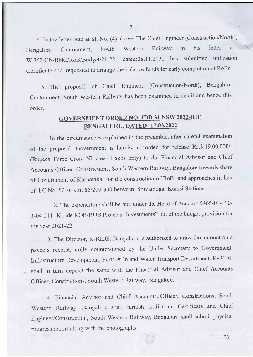4. In the letter read at Sl. No. (4) above, The Chief Engineer (Construction/North), Bengaluru Cantonment, South Western Railway in his letter no' W.352/CN/BNC/RoB/Budget/21-22, dated:08.11.2021 has submitted utilization Certificate and requested to arrange the balance funds for early completion of RoBs.

5. The proposal of Chief Engineer (Construction/North), Bengaluru Cantonment, South Western Railway has been examined in detail and hence this order.

## **GOVERNMENT ORDER NO: IDD 31 NSW 2022-(III)** BENGALURU. DATED: 17.03.2022

In the circumstances explained in the preamble, after careful examination of the proposal, Government is hereby accorded for release Rs.3,19,00,000/- (Rupees Three Crore Nineteen Lakhs only) to the Financial Advisor and Chief Accounts Officer, Constrictions, South Western Railway, Bangalore towards share of Government of Karnataka for the construction of RoB and approaches in lieu of LC No. 52 at K.m 66/200-300 between Shivamoga- Kumsi Stations.

2. The expenditure shall be met under the Head of Account 5465-01-I90- 3-04-21 1- K-ride ROB/RUB Projects- Investrnents" out of the budget provision for the year 2021-22.

3. The Director, K-RIDE, Bangaluru is authorized to draw the amount on a payee's receipt, dully countersigned by the Under Secretary to Government, Infrastructure Development, Ports & Inland Water Transport Department. K-RIDE shall in turn deposit the same with the Financial Advisor and Chief Accounts Officer, Constrictions, South Western Railway, Bangalore.

4. Financial Advisor and Chief Accounts. Officer, Constrictions, South Western Railway, Bangalore shall fumish Utilization Certificate and Chief Engineer/Construction, South Western Railway, Bangaluru shall submit physical progress report along with the photographs.

 $...3)$